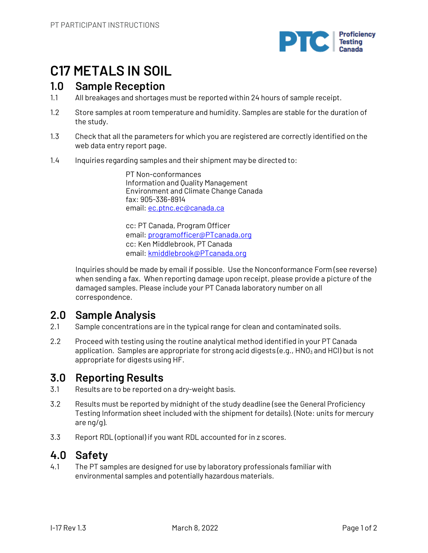

## **C17 METALS IN SOIL**

### **1.0 Sample Reception**

- 1.1 All breakages and shortages must be reported within 24 hours of sample receipt.
- 1.2 Store samples at room temperature and humidity. Samples are stable for the duration of the study.
- 1.3 Check that all the parameters for which you are registered are correctly identified on the web data entry report page.
- 1.4 Inquiries regarding samples and their shipment may be directed to:

PT Non-conformances Information and Quality Management Environment and Climate Change Canada fax: 905-336-8914 email: ec.ptnc.ec@canada.ca

cc: PT Canada, Program Officer email: programofficer@PTcanada.org cc: Ken Middlebrook, PT Canada email: kmiddlebrook@PTcanada.org

Inquiries should be made by email if possible. Use the Nonconformance Form (see reverse) when sending a fax. When reporting damage upon receipt, please provide a picture of the damaged samples. Please include your PT Canada laboratory number on all correspondence.

## **2.0 Sample Analysis**

- 2.1 Sample concentrations are in the typical range for clean and contaminated soils.
- 2.2 Proceed with testing using the routine analytical method identified in your PT Canada application. Samples are appropriate for strong acid digests (e.g.,  $HNO<sub>3</sub>$  and HCl) but is not appropriate for digests using HF.

## **3.0 Reporting Results**

- 3.1 Results are to be reported on a dry-weight basis.
- 3.2 Results must be reported by midnight of the study deadline (see the General Proficiency Testing Information sheet included with the shipment for details). (Note: units for mercury are ng/g).
- 3.3 Report RDL (optional) if you want RDL accounted for in z scores.

## **4.0 Safety**

4.1 The PT samples are designed for use by laboratory professionals familiar with environmental samples and potentially hazardous materials.